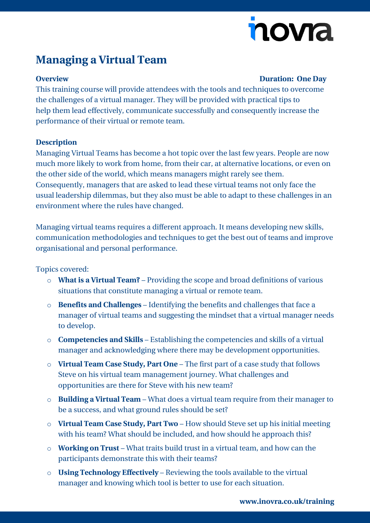# novia

## **Managing a Virtual Team**

#### **Overview Duration: One Day**

This training course will provide attendees with the tools and techniques to overcome the challenges of a virtual manager. They will be provided with practical tips to help them lead effectively, communicate successfully and consequently increase the performance of their virtual or remote team.

### **Description**

Managing Virtual Teams has become a hot topic over the last few years. People are now much more likely to work from home, from their car, at alternative locations, or even on the other side of the world, which means managers might rarely see them. Consequently, managers that are asked to lead these virtual teams not only face the usual leadership dilemmas, but they also must be able to adapt to these challenges in an environment where the rules have changed.

Managing virtual teams requires a different approach. It means developing new skills, communication methodologies and techniques to get the best out of teams and improve organisational and personal performance.

Topics covered:

- o **What is a Virtual Team?** Providing the scope and broad definitions of various situations that constitute managing a virtual or remote team.
- o **Benefits and Challenges** Identifying the benefits and challenges that face a manager of virtual teams and suggesting the mindset that a virtual manager needs to develop.
- o **Competencies and Skills** Establishing the competencies and skills of a virtual manager and acknowledging where there may be development opportunities.
- o **Virtual Team Case Study, Part One** The first part of a case study that follows Steve on his virtual team management journey. What challenges and opportunities are there for Steve with his new team?
- o **Building a Virtual Team** What does a virtual team require from their manager to be a success, and what ground rules should be set?
- o **Virtual Team Case Study, Part Two** How should Steve set up his initial meeting with his team? What should be included, and how should he approach this?
- o **Working on Trust** What traits build trust in a virtual team, and how can the participants demonstrate this with their teams?
- o **Using Technology Effectively** Reviewing the tools available to the virtual manager and knowing which tool is better to use for each situation.